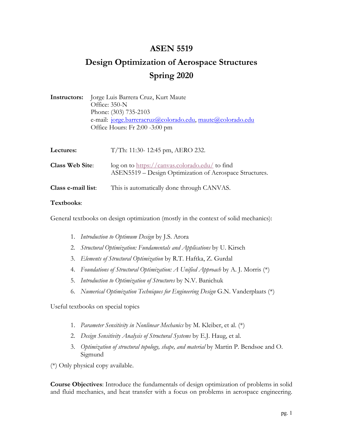# **ASEN 5519**

# **Design Optimization of Aerospace Structures Spring 2020**

| <b>Instructors:</b> Jorge Luis Barrera Cruz, Kurt Maute    |
|------------------------------------------------------------|
| Office: $350-N$                                            |
| Phone: (303) 735-2103                                      |
| e-mail: jorge.barreracruz@colorado.edu, maute@colorado.edu |
| Office Hours: Fr 2:00 -3:00 pm                             |
|                                                            |

| Lectures:              | T/Th: 11:30-12:45 pm, AERO 232.                                                                             |
|------------------------|-------------------------------------------------------------------------------------------------------------|
| <b>Class Web Site:</b> | $log$ on to https://canvas.colorado.edu/ to find<br>ASEN5519 – Design Optimization of Aerospace Structures. |
| Class e-mail list:     | This is automatically done through CANVAS.                                                                  |

#### **Textbooks**:

General textbooks on design optimization (mostly in the context of solid mechanics):

- 1. *Introduction to Optimum Design* by J.S. Arora
- 2. *Structural Optimization: Fundamentals and Applications* by U. Kirsch
- 3. *Elements of Structural Optimization* by R.T. Haftka, Z. Gurdal
- 4. *Foundations of Structural Optimization: A Unified Approach* by A. J. Morris (\*)
- 5. *Introduction to Optimization of Structures* by N.V. Banichuk
- 6. *Numerical Optimization Techniques for Engineering Design* G.N. Vanderplaats (\*)

Useful textbooks on special topics

- 1. *Parameter Sensitivity in Nonlinear Mechanics* by M. Kleiber, et al. (\*)
- 2. *Design Sensitivity Analysis of Structural Systems* by E.J. Haug, et al.
- 3. *Optimization of structural topology, shape, and material* by Martin P. Bendsøe and O. Sigmund

(\*) Only physical copy available.

**Course Objectives**: Introduce the fundamentals of design optimization of problems in solid and fluid mechanics, and heat transfer with a focus on problems in aerospace engineering.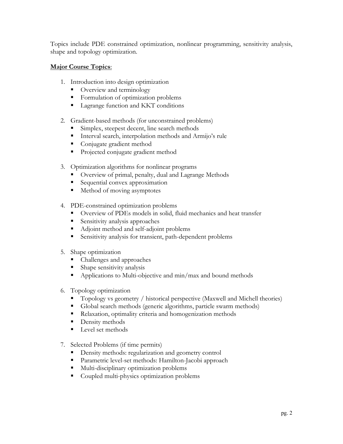Topics include PDE constrained optimization, nonlinear programming, sensitivity analysis, shape and topology optimization.

### **Major Course Topics**:

- 1. Introduction into design optimization
	- Overview and terminology
	- Formulation of optimization problems
	- Lagrange function and KKT conditions
- 2. Gradient-based methods (for unconstrained problems)
	- Simplex, steepest decent, line search methods
	- Interval search, interpolation methods and Armijo's rule
	- Conjugate gradient method
	- Projected conjugate gradient method
- 3. Optimization algorithms for nonlinear programs
	- Overview of primal, penalty, dual and Lagrange Methods
	- Sequential convex approximation
	- Method of moving asymptotes
- 4. PDE-constrained optimization problems
	- Overview of PDEs models in solid, fluid mechanics and heat transfer
	- Sensitivity analysis approaches
	- Adjoint method and self-adjoint problems
	- Sensitivity analysis for transient, path-dependent problems
- 5. Shape optimization
	- Challenges and approaches
	- Shape sensitivity analysis
	- Applications to Multi-objective and min/max and bound methods
- 6. Topology optimization
	- § Topology vs geometry / historical perspective (Maxwell and Michell theories)
	- Global search methods (generic algorithms, particle swarm methods)
	- Relaxation, optimality criteria and homogenization methods
	- Density methods
	- Level set methods
- 7. Selected Problems (if time permits)
	- Density methods: regularization and geometry control
	- Parametric level-set methods: Hamilton-Jacobi approach
	- Multi-disciplinary optimization problems
	- Coupled multi-physics optimization problems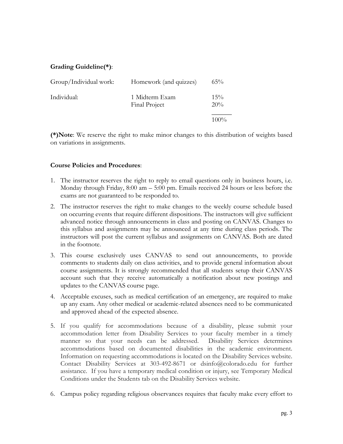## **Grading Guideline(\*)**:

| Group/Individual work: | Homework (and quizzes)          | $65\%$        |
|------------------------|---------------------------------|---------------|
| Individual:            | 1 Midterm Exam<br>Final Project | $15\%$<br>20% |
|                        |                                 | $100\%$       |

**(\*)Note**: We reserve the right to make minor changes to this distribution of weights based on variations in assignments.

#### **Course Policies and Procedures**:

- 1. The instructor reserves the right to reply to email questions only in business hours, i.e. Monday through Friday, 8:00 am – 5:00 pm. Emails received 24 hours or less before the exams are not guaranteed to be responded to.
- 2. The instructor reserves the right to make changes to the weekly course schedule based on occurring events that require different dispositions. The instructors will give sufficient advanced notice through announcements in class and posting on CANVAS. Changes to this syllabus and assignments may be announced at any time during class periods. The instructors will post the current syllabus and assignments on CANVAS. Both are dated in the footnote.
- 3. This course exclusively uses CANVAS to send out announcements, to provide comments to students daily on class activities, and to provide general information about course assignments. It is strongly recommended that all students setup their CANVAS account such that they receive automatically a notification about new postings and updates to the CANVAS course page.
- 4. Acceptable excuses, such as medical certification of an emergency, are required to make up any exam. Any other medical or academic-related absences need to be communicated and approved ahead of the expected absence.
- 5. If you qualify for accommodations because of a disability, please submit your accommodation letter from Disability Services to your faculty member in a timely manner so that your needs can be addressed. Disability Services determines accommodations based on documented disabilities in the academic environment. Information on requesting accommodations is located on the Disability Services website. Contact Disability Services at 303-492-8671 or dsinfo@colorado.edu for further assistance. If you have a temporary medical condition or injury, see Temporary Medical Conditions under the Students tab on the Disability Services website.
- 6. Campus policy regarding religious observances requires that faculty make every effort to